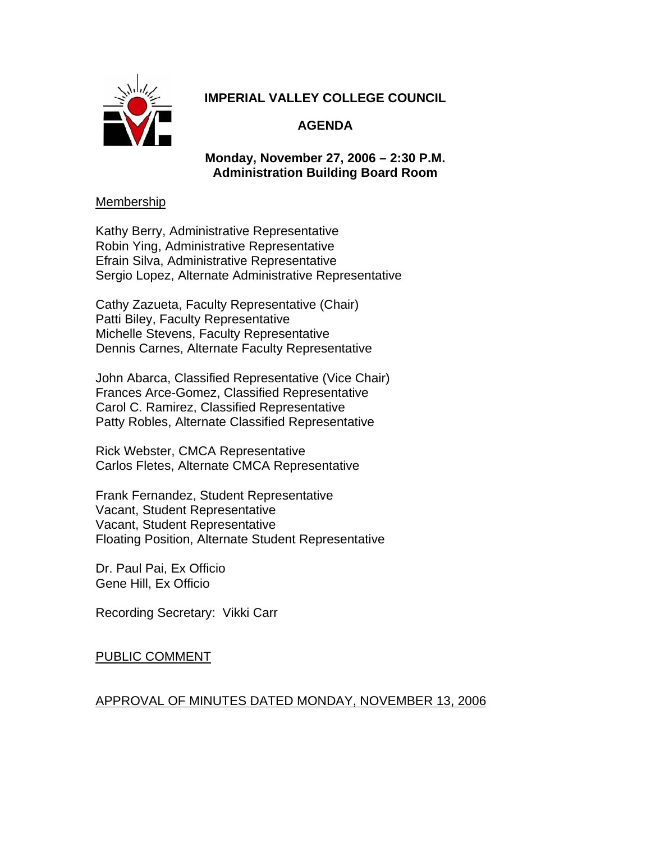

# **IMPERIAL VALLEY COLLEGE COUNCIL**

# **AGENDA**

## **Monday, November 27, 2006 – 2:30 P.M. Administration Building Board Room**

### Membership

Kathy Berry, Administrative Representative Robin Ying, Administrative Representative Efrain Silva, Administrative Representative Sergio Lopez, Alternate Administrative Representative

Cathy Zazueta, Faculty Representative (Chair) Patti Biley, Faculty Representative Michelle Stevens, Faculty Representative Dennis Carnes, Alternate Faculty Representative

John Abarca, Classified Representative (Vice Chair) Frances Arce-Gomez, Classified Representative Carol C. Ramirez, Classified Representative Patty Robles, Alternate Classified Representative

Rick Webster, CMCA Representative Carlos Fletes, Alternate CMCA Representative

Frank Fernandez, Student Representative Vacant, Student Representative Vacant, Student Representative Floating Position, Alternate Student Representative

Dr. Paul Pai, Ex Officio Gene Hill, Ex Officio

Recording Secretary: Vikki Carr

## PUBLIC COMMENT

## APPROVAL OF MINUTES DATED MONDAY, NOVEMBER 13, 2006